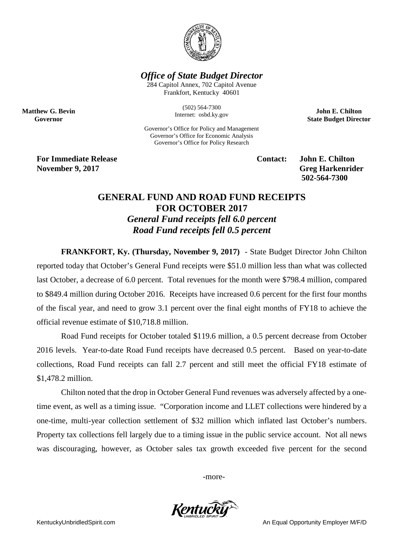

## *Office of State Budget Director*

284 Capitol Annex, 702 Capitol Avenue Frankfort, Kentucky 40601

> (502) 564-7300 Internet: osbd.ky.gov

Governor's Office for Policy and Management Governor's Office for Economic Analysis Governor's Office for Policy Research

**John E. Chilton State Budget Director**

**For Immediate Release Contact: John E. Chilton November 9, 2017** Greg Harkenrider

**Matthew G. Bevin Governor**

**502-564-7300** 

## **GENERAL FUND AND ROAD FUND RECEIPTS FOR OCTOBER 2017** *General Fund receipts fell 6.0 percent Road Fund receipts fell 0.5 percent*

**FRANKFORT, Ky. (Thursday, November 9, 2017)** - State Budget Director John Chilton reported today that October's General Fund receipts were \$51.0 million less than what was collected last October, a decrease of 6.0 percent. Total revenues for the month were \$798.4 million, compared to \$849.4 million during October 2016. Receipts have increased 0.6 percent for the first four months of the fiscal year, and need to grow 3.1 percent over the final eight months of FY18 to achieve the official revenue estimate of \$10,718.8 million.

Road Fund receipts for October totaled \$119.6 million, a 0.5 percent decrease from October 2016 levels. Year-to-date Road Fund receipts have decreased 0.5 percent. Based on year-to-date collections, Road Fund receipts can fall 2.7 percent and still meet the official FY18 estimate of \$1,478.2 million.

Chilton noted that the drop in October General Fund revenues was adversely affected by a onetime event, as well as a timing issue. "Corporation income and LLET collections were hindered by a one-time, multi-year collection settlement of \$32 million which inflated last October's numbers. Property tax collections fell largely due to a timing issue in the public service account. Not all news was discouraging, however, as October sales tax growth exceeded five percent for the second

-more-



KentuckyUnbridledSpirit.com **An Equal Opportunity Employer M/F/D** An Equal Opportunity Employer M/F/D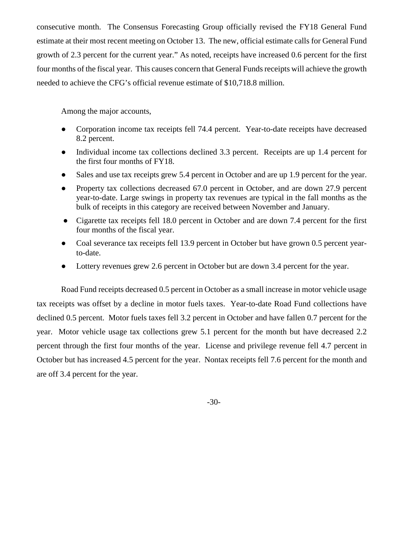consecutive month. The Consensus Forecasting Group officially revised the FY18 General Fund estimate at their most recent meeting on October 13. The new, official estimate calls for General Fund growth of 2.3 percent for the current year." As noted, receipts have increased 0.6 percent for the first four months of the fiscal year. This causes concern that General Funds receipts will achieve the growth needed to achieve the CFG's official revenue estimate of \$10,718.8 million.

Among the major accounts,

- Corporation income tax receipts fell 74.4 percent. Year-to-date receipts have decreased 8.2 percent.
- Individual income tax collections declined 3.3 percent. Receipts are up 1.4 percent for the first four months of FY18.
- Sales and use tax receipts grew 5.4 percent in October and are up 1.9 percent for the year.
- Property tax collections decreased 67.0 percent in October, and are down 27.9 percent year-to-date. Large swings in property tax revenues are typical in the fall months as the bulk of receipts in this category are received between November and January.
- Cigarette tax receipts fell 18.0 percent in October and are down 7.4 percent for the first four months of the fiscal year.
- Coal severance tax receipts fell 13.9 percent in October but have grown 0.5 percent yearto-date.
- Lottery revenues grew 2.6 percent in October but are down 3.4 percent for the year.

Road Fund receipts decreased 0.5 percent in October as a small increase in motor vehicle usage tax receipts was offset by a decline in motor fuels taxes. Year-to-date Road Fund collections have declined 0.5 percent. Motor fuels taxes fell 3.2 percent in October and have fallen 0.7 percent for the year. Motor vehicle usage tax collections grew 5.1 percent for the month but have decreased 2.2 percent through the first four months of the year. License and privilege revenue fell 4.7 percent in October but has increased 4.5 percent for the year. Nontax receipts fell 7.6 percent for the month and are off 3.4 percent for the year.

-30-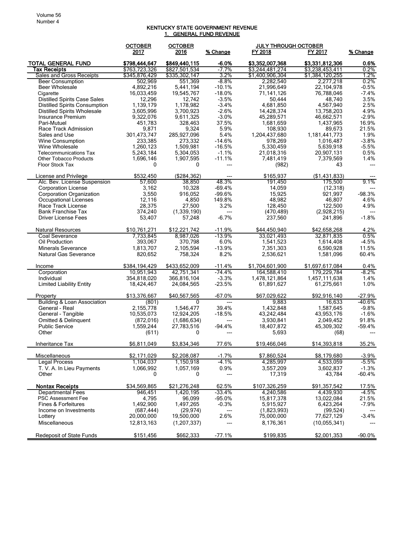## KENTUCKY STATE GOVERNMENT REVENUE 1. GENERAL FUND REVENUE

|                                                  | <b>OCTOBER</b>       | <b>OCTOBER</b>       |                      | <b>JULY THROUGH OCTOBER</b> |                      |                 |
|--------------------------------------------------|----------------------|----------------------|----------------------|-----------------------------|----------------------|-----------------|
|                                                  | 2017                 | 2016                 | % Change             | FY 2018                     | FY 2017              | % Change        |
| <b>TOTAL GENERAL FUND</b>                        | \$798,444,647        | \$849,440,115        | $-6.0%$              | \$3,352,007,368             | \$3,331,812,306      | 0.6%            |
| Tax Receipts                                     | \$763,723,326        | \$827,501,534        | $-7.7%$              | \$3,244,481,274             | \$3,238,453,411      | 0.2%            |
| Sales and Gross Receipts                         | \$345,876,429        | \$335,302,147        | 3.2%                 | \$1,400,906,304             | \$1,384,120,255      | 1.2%            |
| <b>Beer Consumption</b><br><b>Beer Wholesale</b> | 502,969<br>4,892,216 | 551,369<br>5.441.194 | $-8.8\%$<br>$-10.1%$ | 2,282,540                   | 2,277,218            | 0.2%<br>$-0.5%$ |
| Cigarette                                        |                      |                      | $-18.0%$             | 21,996,649                  | 22,104,978           | $-7.4%$         |
| <b>Distilled Spirits Case Sales</b>              | 16,033,459<br>12,296 | 19,545,767<br>12,742 | $-3.5%$              | 71,141,126<br>50,444        | 76,788,046<br>48,740 | 3.5%            |
| <b>Distilled Spirits Consumption</b>             | 1.139.179            | 1,178,982            | $-3.4%$              | 4,681,850                   | 4,567,940            | 2.5%            |
| Distilled Spirits Wholesale                      | 3,605,996            | 3,700,923            | $-2.6%$              | 14,428,374                  | 13,758,203           | 4.9%            |
| Insurance Premium                                | 9,322,076            | 9,611,325            | $-3.0%$              | 45,289,571                  | 46,662,571           | $-2.9%$         |
| Pari-Mutuel                                      | 451,783              | 328,463              | 37.5%                | 1,681,659                   | 1,437,965            | 16.9%           |
| Race Track Admission                             | 9,871                | 9,324                | 5.9%                 | 108,930                     | 89.673               | 21.5%           |
| Sales and Use                                    | 301,473,747          | 285,927,096          | 5.4%                 | 1,204,437,680               | 1,181,441,773        | 1.9%            |
| Wine Consumption                                 | 233,385              | 273,332              | $-14.6%$             | 978,269                     | 1,016,487            | $-3.8%$         |
| Wine Wholesale                                   | 1,260,123            | 1,509,981            | $-16.5%$             | 5,330,459                   | 5,639,918            | $-5.5%$         |
| <b>Telecommunications Tax</b>                    | 5,243,184            | 5,304,053            | $-1.1%$              | 21,018,316                  | 20,907,131           | 0.5%            |
| <b>Other Tobacco Products</b>                    | 1,696,146            | 1,907,595            | $-11.1%$             | 7,481,419                   | 7,379,569            | 1.4%            |
| Floor Stock Tax                                  | 0                    | 0                    | ---                  | (982)                       | 43                   | $---$           |
| License and Privilege                            | \$532,450            | ( \$284, 362)        | ---                  | \$165,937                   | (\$1,431,833)        |                 |
| Alc. Bev. License Suspension                     | 57,600               | 38.850               | 48.3%                | 191,450                     | 175,500              | 9.1%            |
| <b>Corporation License</b>                       | 3,162                | 10,328               | $-69.4%$             | 14,059                      | (12, 318)            | ---             |
| <b>Corporation Organization</b>                  | 3,550                | 916,052              | $-99.6%$             | 15,925                      | 921,997              | $-98.3%$        |
| Occupational Licenses                            | 12,116               | 4,850                | 149.8%               | 48,982                      | 46,807               | 4.6%            |
| Race Track License                               | 28,375               | 27,500               | 3.2%                 | 128,450                     | 122,500              | 4.9%            |
| <b>Bank Franchise Tax</b>                        | 374,240              | (1, 339, 190)        | $---$                | (470, 489)                  | (2,928,215)          | $---$           |
| Driver License Fees                              | 53,407               | 57,248               | $-6.7%$              | 237,560                     | 241,896              | $-1.8%$         |
| Natural Resources                                | \$10,761,271         | \$12,221,742         | $-11.9%$             | \$44,450,940                | \$42,658,268         | 4.2%            |
| Coal Severance                                   | 7,733,845            | 8,987,026            | $-13.9%$             | 33.021,493                  | 32,871,835           | 0.5%            |
| Oil Production                                   | 393,067              | 370,798              | 6.0%                 | 1,541,523                   | 1,614,408            | $-4.5%$         |
| <b>Minerals Severance</b>                        | 1,813,707            | 2,105,594            | $-13.9%$             | 7,351,303                   | 6,590,928            | 11.5%           |
| <b>Natural Gas Severance</b>                     | 820,652              | 758,324              | 8.2%                 | 2,536,621                   | 1,581,096            | 60.4%           |
| Income                                           | \$384,194,429        | \$433,652,009        | $-11.4%$             | \$1,704,601,900             | \$1,697,617,084      | 0.4%            |
| Corporation                                      | 10,951,943           | 42,751,341           | $-74.4%$             | 164,588,410                 | 179,229,784          | $-8.2%$         |
| Individual                                       | 354,818,020          | 366,816,104          | $-3.3%$              | 1,478,121,864               | 1,457,111,638        | 1.4%            |
| <b>Limited Liability Entity</b>                  | 18,424,467           | 24,084,565           | $-23.5%$             | 61,891,627                  | 61,275,661           | 1.0%            |
| Property                                         | \$13,376,667         | \$40,567,565         | $-67.0%$             | \$67,029,622                | \$92,916,140         | $-27.9%$        |
| Building & Loan Association                      | (801)                | 0                    | $\overline{a}$       | 9,883                       | 16,633               | $-40.6%$        |
| General - Real                                   | 2,155,778            | 1,546,477            | 39.4%                | 1,432,848                   | 1,587,645            | $-9.8%$         |
| General - Tangible                               | 10,535,073           | 12,924,205           | $-18.5%$             | 43,242,484                  | 43,953,176           | $-1.6%$         |
| Omitted & Delinquent                             | (872, 016)           | (1,686,634)          | ---                  | 3,930,841                   | 2,049,452            | 91.8%           |
| <b>Public Service</b>                            | 1,559,244            | 27,783,516           | $-94.4%$             | 18,407,872                  | 45,309,302           | $-59.4%$        |
| Other                                            | (611)                | 0                    | ---                  | 5,693                       | (68)                 |                 |
| Inheritance Tax                                  | \$6,811,049          | \$3,834,346          | 77.6%                | \$19,466,046                | \$14,393,818         | 35.2%           |
|                                                  |                      |                      |                      |                             |                      |                 |
| Miscellaneous                                    | \$2,171,029          | \$2,208,087          | $-1.7%$              | \$7,860,524                 | \$8,179,680          | $-3.9%$         |
| Legal Process                                    | 1,104,037            | 1,150,918            | $-4.1%$              | 4,285,997                   | 4,533,059            | $-5.5%$         |
| T. V. A. In Lieu Payments                        | 1,066,992            | 1,057,169            | 0.9%                 | 3,557,209                   | 3,602,837            | $-1.3%$         |
| Other                                            | 0                    | 0                    | ---                  | 17,319                      | 43,784               | $-60.4%$        |
| <b>Nontax Receipts</b>                           | \$34,569,865         | \$21,276,248         | 62.5%                | \$107,326,259               | \$91,357,542         | 17.5%           |
| <b>Departmental Fees</b>                         | 946,451              | 1,420,195            | $-33.4%$             | 4,240,586                   | 4,439,930            | $-4.5%$         |
| <b>PSC Assessment Fee</b>                        | 4,795                | 96,099               | $-95.0%$             | 15,817,378                  | 13,022,084           | 21.5%           |
| <b>Fines &amp; Forfeitures</b>                   | 1,492,900            | 1,497,265            | $-0.3%$              | 5,915,927                   | 6,423,264            | $-7.9%$         |
| Income on Investments                            | (687, 444)           | (29, 974)            | ---                  | (1,823,993)                 | (99, 524)            | ---             |
| Lottery                                          | 20,000,000           | 19,500,000           | 2.6%                 | 75,000,000                  | 77,627,129           | $-3.4%$         |
| Miscellaneous                                    | 12,813,163           | (1,207,337)          | ---                  | 8,176,361                   | (10, 055, 341)       |                 |
| <b>Redeposit of State Funds</b>                  | \$151,456            | \$662,333            | $-77.1%$             | \$199,835                   | \$2,001,353          | $-90.0%$        |